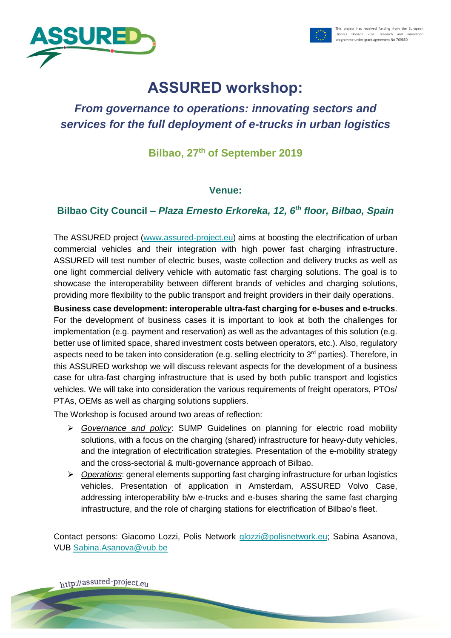



# **ASSURED workshop:**

## *From governance to operations: innovating sectors and services for the full deployment of e-trucks in urban logistics*

## **Bilbao, 27 th of September 2019**

#### **Venue:**

### **Bilbao City Council –** *Plaza Ernesto Erkoreka, 12, 6th floor, Bilbao, Spain*

The ASSURED project [\(www.assured-project.eu\)](http://www.assured-project.eu/) aims at boosting the electrification of urban commercial vehicles and their integration with high power fast charging infrastructure. ASSURED will test number of electric buses, waste collection and delivery trucks as well as one light commercial delivery vehicle with automatic fast charging solutions. The goal is to showcase the interoperability between different brands of vehicles and charging solutions, providing more flexibility to the public transport and freight providers in their daily operations.

**Business case development: interoperable ultra-fast charging for e-buses and e-trucks**. For the development of business cases it is important to look at both the challenges for implementation (e.g. payment and reservation) as well as the advantages of this solution (e.g. better use of limited space, shared investment costs between operators, etc.). Also, regulatory aspects need to be taken into consideration (e.g. selling electricity to 3<sup>rd</sup> parties). Therefore, in this ASSURED workshop we will discuss relevant aspects for the development of a business case for ultra-fast charging infrastructure that is used by both public transport and logistics vehicles. We will take into consideration the various requirements of freight operators, PTOs/ PTAs, OEMs as well as charging solutions suppliers.

The Workshop is focused around two areas of reflection:

- ➢ *Governance and policy*: SUMP Guidelines on planning for electric road mobility solutions, with a focus on the charging (shared) infrastructure for heavy-duty vehicles, and the integration of electrification strategies. Presentation of the e-mobility strategy and the cross-sectorial & multi-governance approach of Bilbao.
- ➢ *Operations*: general elements supporting fast charging infrastructure for urban logistics vehicles. Presentation of application in Amsterdam, ASSURED Volvo Case, addressing interoperability b/w e-trucks and e-buses sharing the same fast charging infrastructure, and the role of charging stations for electrification of Bilbao's fleet.

Contact persons: Giacomo Lozzi, Polis Network [glozzi@polisnetwork.eu;](mailto:glozzi@polisnetwork.eu) Sabina Asanova, VUB [Sabina.Asanova@vub.be](mailto:Sabina.Asanova@vub.be)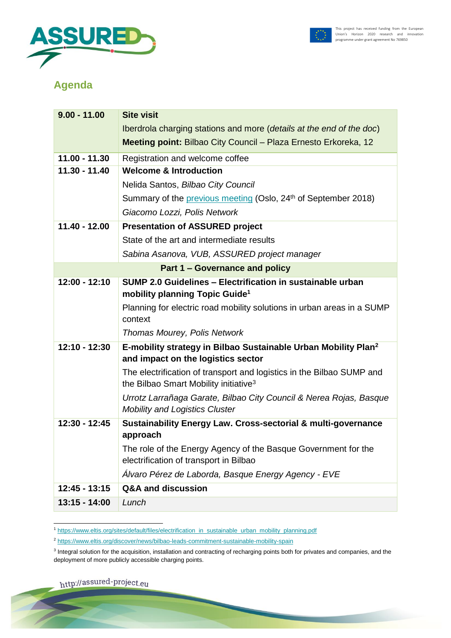



## **Agenda**

| $9.00 - 11.00$                        | <b>Site visit</b>                                                                                                          |
|---------------------------------------|----------------------------------------------------------------------------------------------------------------------------|
|                                       | Iberdrola charging stations and more (details at the end of the doc)                                                       |
|                                       | Meeting point: Bilbao City Council - Plaza Ernesto Erkoreka, 12                                                            |
| $11.00 - 11.30$                       | Registration and welcome coffee                                                                                            |
| 11.30 - 11.40                         | <b>Welcome &amp; Introduction</b>                                                                                          |
|                                       | Nelida Santos, Bilbao City Council                                                                                         |
|                                       | Summary of the previous meeting (Oslo, 24 <sup>th</sup> of September 2018)                                                 |
|                                       | Giacomo Lozzi, Polis Network                                                                                               |
| $11.40 - 12.00$                       | <b>Presentation of ASSURED project</b>                                                                                     |
|                                       | State of the art and intermediate results                                                                                  |
|                                       | Sabina Asanova, VUB, ASSURED project manager                                                                               |
| <b>Part 1 – Governance and policy</b> |                                                                                                                            |
| $12:00 - 12:10$                       | SUMP 2.0 Guidelines - Electrification in sustainable urban<br>mobility planning Topic Guide <sup>1</sup>                   |
|                                       | Planning for electric road mobility solutions in urban areas in a SUMP<br>context                                          |
|                                       | Thomas Mourey, Polis Network                                                                                               |
| 12:10 - 12:30                         | E-mobility strategy in Bilbao Sustainable Urban Mobility Plan <sup>2</sup><br>and impact on the logistics sector           |
|                                       | The electrification of transport and logistics in the Bilbao SUMP and<br>the Bilbao Smart Mobility initiative <sup>3</sup> |
|                                       | Urrotz Larrañaga Garate, Bilbao City Council & Nerea Rojas, Basque<br><b>Mobility and Logistics Cluster</b>                |
| 12:30 - 12:45                         | Sustainability Energy Law. Cross-sectorial & multi-governance<br>approach                                                  |
|                                       | The role of the Energy Agency of the Basque Government for the<br>electrification of transport in Bilbao                   |
|                                       | Álvaro Pérez de Laborda, Basque Energy Agency - EVE                                                                        |
| $12:45 - 13:15$                       | <b>Q&amp;A and discussion</b>                                                                                              |
| $13:15 - 14:00$                       | Lunch                                                                                                                      |

 <sup>1</sup> [https://www.eltis.org/sites/default/files/electrification\\_in\\_sustainable\\_urban\\_mobility\\_planning.pdf](https://www.eltis.org/sites/default/files/electrification_in_sustainable_urban_mobility_planning.pdf)

<sup>2</sup> <https://www.eltis.org/discover/news/bilbao-leads-commitment-sustainable-mobility-spain>

<sup>&</sup>lt;sup>3</sup> Integral solution for the acquisition, installation and contracting of recharging points both for privates and companies, and the deployment of more publicly accessible charging points.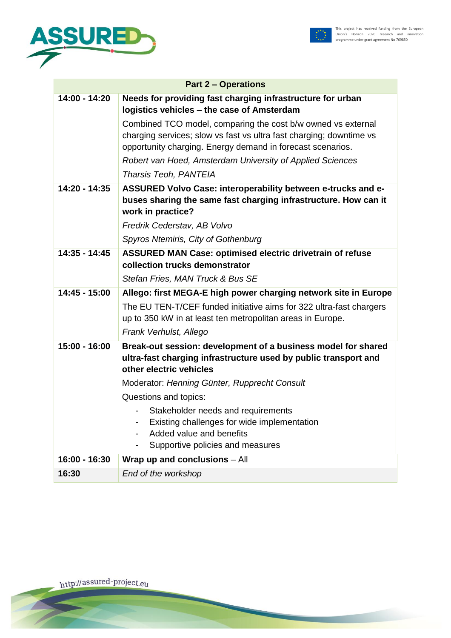



| <b>Part 2 - Operations</b> |                                                                                                                                                                                                                                                                                                |
|----------------------------|------------------------------------------------------------------------------------------------------------------------------------------------------------------------------------------------------------------------------------------------------------------------------------------------|
| $14:00 - 14:20$            | Needs for providing fast charging infrastructure for urban<br>logistics vehicles - the case of Amsterdam                                                                                                                                                                                       |
|                            | Combined TCO model, comparing the cost b/w owned vs external<br>charging services; slow vs fast vs ultra fast charging; downtime vs<br>opportunity charging. Energy demand in forecast scenarios.<br>Robert van Hoed, Amsterdam University of Applied Sciences<br><b>Tharsis Teoh, PANTEIA</b> |
| 14:20 - 14:35              | ASSURED Volvo Case: interoperability between e-trucks and e-<br>buses sharing the same fast charging infrastructure. How can it<br>work in practice?                                                                                                                                           |
|                            | Fredrik Cederstav, AB Volvo                                                                                                                                                                                                                                                                    |
|                            | Spyros Ntemiris, City of Gothenburg                                                                                                                                                                                                                                                            |
| $14:35 - 14:45$            | <b>ASSURED MAN Case: optimised electric drivetrain of refuse</b><br>collection trucks demonstrator                                                                                                                                                                                             |
|                            |                                                                                                                                                                                                                                                                                                |
|                            | Stefan Fries, MAN Truck & Bus SE                                                                                                                                                                                                                                                               |
| 14:45 - 15:00              | Allego: first MEGA-E high power charging network site in Europe                                                                                                                                                                                                                                |
|                            | The EU TEN-T/CEF funded initiative aims for 322 ultra-fast chargers                                                                                                                                                                                                                            |
|                            | up to 350 kW in at least ten metropolitan areas in Europe.                                                                                                                                                                                                                                     |
|                            | Frank Verhulst, Allego                                                                                                                                                                                                                                                                         |
| 15:00 - 16:00              | Break-out session: development of a business model for shared<br>ultra-fast charging infrastructure used by public transport and                                                                                                                                                               |
|                            | other electric vehicles                                                                                                                                                                                                                                                                        |
|                            | Moderator: Henning Günter, Rupprecht Consult                                                                                                                                                                                                                                                   |
|                            | Questions and topics:                                                                                                                                                                                                                                                                          |
|                            | Stakeholder needs and requirements                                                                                                                                                                                                                                                             |
|                            | Existing challenges for wide implementation                                                                                                                                                                                                                                                    |
|                            | Added value and benefits                                                                                                                                                                                                                                                                       |
|                            | Supportive policies and measures                                                                                                                                                                                                                                                               |
| 16:00 - 16:30              | Wrap up and conclusions - All                                                                                                                                                                                                                                                                  |
| 16:30                      | End of the workshop                                                                                                                                                                                                                                                                            |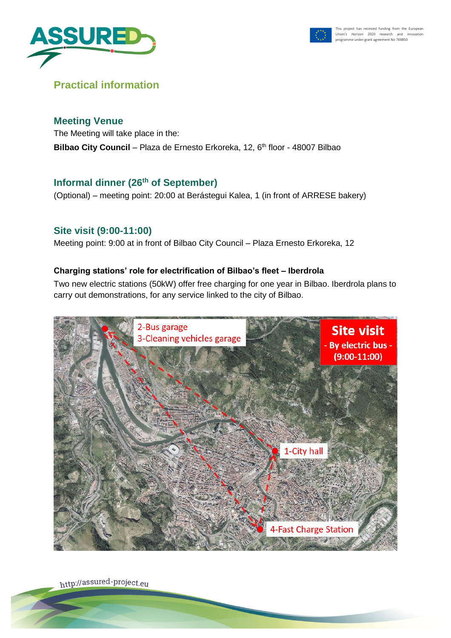



## **Practical information**

#### **Meeting Venue**

The Meeting will take place in the: **Bilbao City Council** – Plaza de Ernesto Erkoreka, 12, 6<sup>th</sup> floor - 48007 Bilbao

## **Informal dinner (26th of September)**

(Optional) – meeting point: 20:00 at Berástegui Kalea, 1 (in front of ARRESE bakery)

### **Site visit (9:00-11:00)**

Meeting point: 9:00 at in front of Bilbao City Council – Plaza Ernesto Erkoreka, 12

#### **Charging stations' role for electrification of Bilbao's fleet – Iberdrola**

Two new electric stations (50kW) offer free charging for one year in Bilbao. Iberdrola plans to carry out demonstrations, for any service linked to the city of Bilbao.

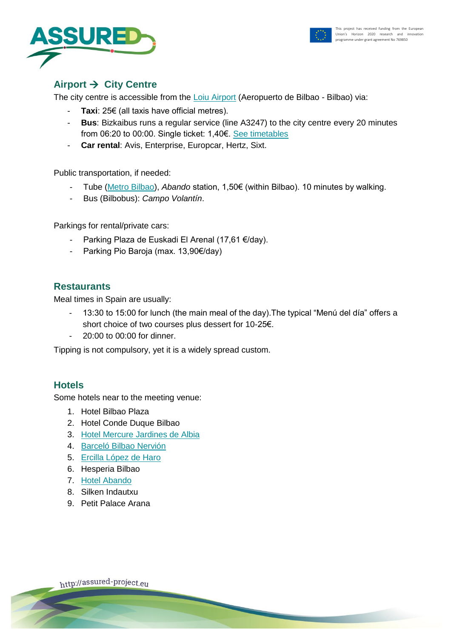



## **Airport** → **City Centre**

The city centre is accessible from the [Loiu Airport](http://www.aeropuertodebilbao.net/en/) (Aeropuerto de Bilbao - Bilbao) via:

- **Taxi**: 25€ (all taxis have official metres).
- **Bus**: Bizkaibus runs a regular service (line A3247) to the city centre every 20 minutes from 06:20 to 00:00. Single ticket: 1,40€. [See timetables](http://apli.bizkaia.net/APPS/DANOK/TQ/DATOS_PARADAS/ITINERARIOS/A3247V.PDF)
- **Car rental**: Avis, Enterprise, Europcar, Hertz, Sixt.

Public transportation, if needed:

- Tube [\(Metro Bilbao\)](http://www.metrobilbao.net/en/using-the-underground), *Abando* station, 1,50€ (within Bilbao). 10 minutes by walking.
- Bus (Bilbobus): *Campo Volantín*.

Parkings for rental/private cars:

- Parking Plaza de Euskadi El Arenal (17,61 €/day).
- Parking Pio Baroja (max. 13,90€/day)

#### **Restaurants**

Meal times in Spain are usually:

- 13:30 to 15:00 for lunch (the main meal of the day).The typical "Menú del día" offers a short choice of two courses plus dessert for 10-25€.
- 20:00 to 00:00 for dinner.

Tipping is not compulsory, yet it is a widely spread custom.

#### **Hotels**

Some hotels near to the meeting venue:

- 1. Hotel Bilbao Plaza
- 2. Hotel Conde Duque Bilbao
- 3. [Hotel Mercure Jardines de Albia](http://www.mercure.com/es/hotel-A057-mercure-bilbao-jardines-de-albia-/index.shtml)
- 4. [Barceló Bilbao Nervión](https://www.barcelo.com/barcelohotels/es_es/hoteles/espana/bilbao/hotel-barcelo-bilbao-nervion/descripcion-general.aspx)
- 5. [Ercilla López de Haro](http://www.booking.com/hotel/es/lopezdeharo.es.html?aid=318615;label=New_Spanish_ES_ES_21463012105-LPwjRe8TaU%2Ats8W_n17MsAS84783485305%3Apl%3Ata%3Ap1%3Ap2%3Aac%3Aap1t1%3Aneg;sid=eb6490b16a2f3e29efdad226bab5a687;dcid=1;checkin=2016-09-27;checkout=2016-09-29;room1=A;homd=1;atlas_src=hp_iw_title)
- 6. Hesperia Bilbao
- 7. [Hotel Abando](http://hotelabando.com/)
- 8. Silken Indautxu
- 9. Petit Palace Arana